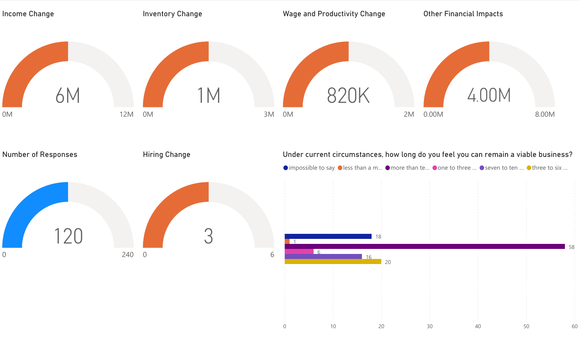